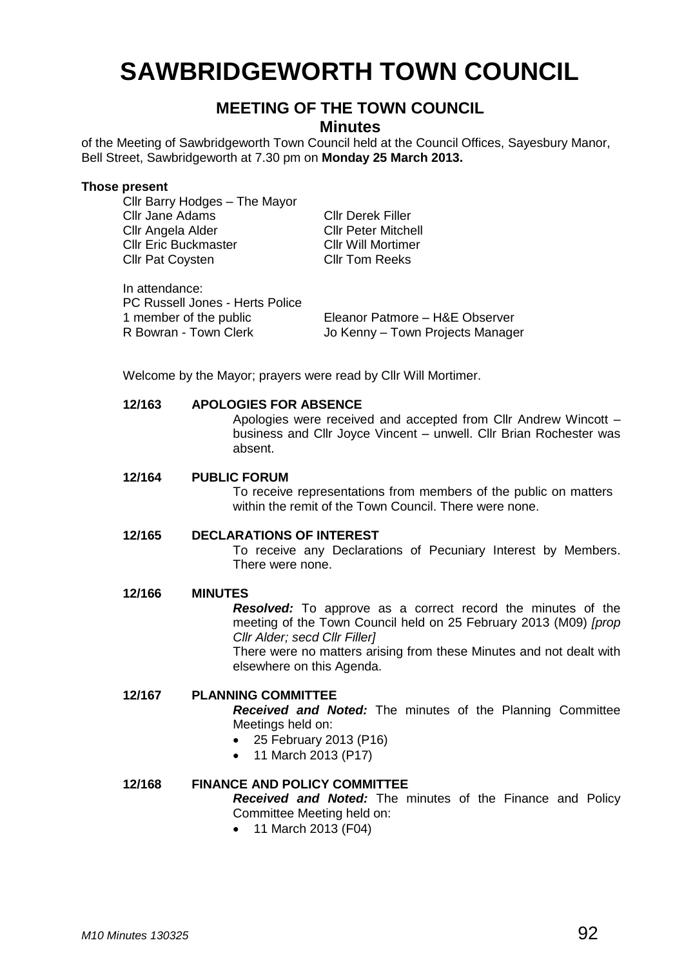# **SAWBRIDGEWORTH TOWN COUNCIL**

# **MEETING OF THE TOWN COUNCIL**

**Minutes**

of the Meeting of Sawbridgeworth Town Council held at the Council Offices, Sayesbury Manor, Bell Street, Sawbridgeworth at 7.30 pm on **Monday 25 March 2013.**

#### **Those present**

Cllr Barry Hodges – The Mayor Cllr Jane Adams Cllr Derek Filler Cllr Angela Alder Cllr Peter Mitchell **Cllr Eric Buckmaster Cllr Will Mortimer<br>Cllr Pat Coysten Cllr Tom Reeks** Cllr Pat Covsten

In attendance: PC Russell Jones - Herts Police

1 member of the public Eleanor Patmore – H&E Observer R Bowran - Town Clerk Jo Kenny – Town Projects Manager

Welcome by the Mayor; prayers were read by Cllr Will Mortimer.

### **12/163 APOLOGIES FOR ABSENCE**

Apologies were received and accepted from Cllr Andrew Wincott – business and Cllr Joyce Vincent – unwell. Cllr Brian Rochester was absent.

#### **12/164 PUBLIC FORUM**

To receive representations from members of the public on matters within the remit of the Town Council. There were none.

#### **12/165 DECLARATIONS OF INTEREST**

To receive any Declarations of Pecuniary Interest by Members. There were none.

#### **12/166 MINUTES**

*Resolved:* To approve as a correct record the minutes of the meeting of the Town Council held on 25 February 2013 (M09) *[prop Cllr Alder; secd Cllr Filler]*

There were no matters arising from these Minutes and not dealt with elsewhere on this Agenda.

# **12/167 PLANNING COMMITTEE**

*Received and Noted:* The minutes of the Planning Committee Meetings held on:

- 25 February 2013 (P16)
- 11 March 2013 (P17)

# **12/168 FINANCE AND POLICY COMMITTEE**

*Received and Noted:* The minutes of the Finance and Policy Committee Meeting held on:

• 11 March 2013 (F04)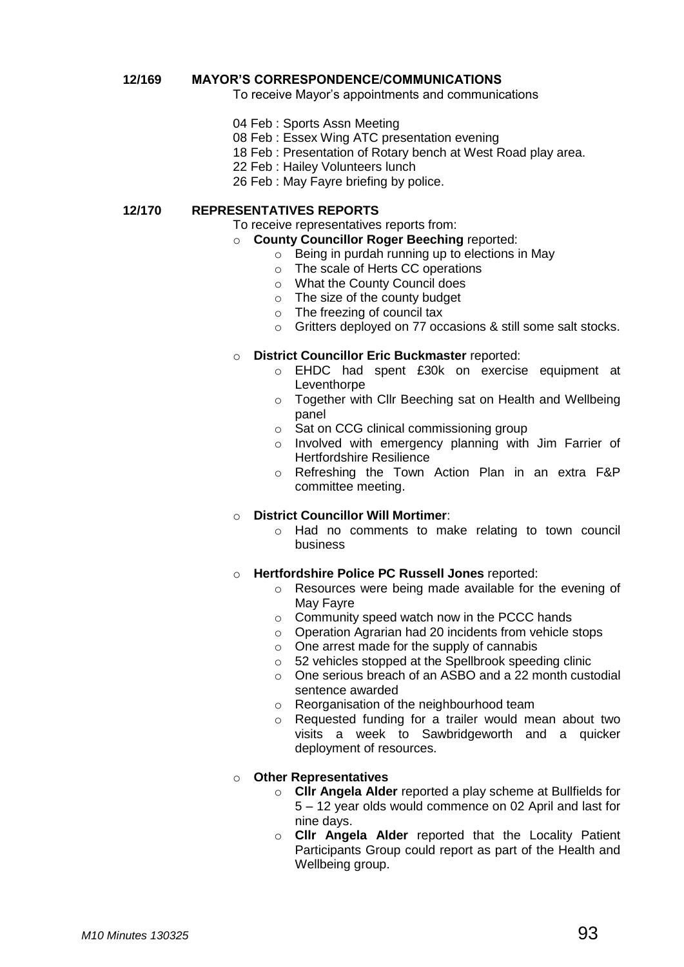### **12/169 MAYOR'S CORRESPONDENCE/COMMUNICATIONS**

To receive Mayor's appointments and communications

- 04 Feb : Sports Assn Meeting
- 08 Feb : Essex Wing ATC presentation evening
- 18 Feb : Presentation of Rotary bench at West Road play area.
- 22 Feb : Hailey Volunteers lunch
- 26 Feb : May Fayre briefing by police.

### **12/170 REPRESENTATIVES REPORTS**

To receive representatives reports from:

## o **County Councillor Roger Beeching** reported:

- $\circ$  Being in purdah running up to elections in May
- o The scale of Herts CC operations
- o What the County Council does
- o The size of the county budget
- o The freezing of council tax
- o Gritters deployed on 77 occasions & still some salt stocks.
- o **District Councillor Eric Buckmaster** reported:
	- o EHDC had spent £30k on exercise equipment at **Leventhorpe**
	- o Together with Cllr Beeching sat on Health and Wellbeing panel
	- o Sat on CCG clinical commissioning group
	- o Involved with emergency planning with Jim Farrier of Hertfordshire Resilience
	- o Refreshing the Town Action Plan in an extra F&P committee meeting.

# o **District Councillor Will Mortimer**:

o Had no comments to make relating to town council business

# o **Hertfordshire Police PC Russell Jones** reported:

- o Resources were being made available for the evening of May Fayre
- o Community speed watch now in the PCCC hands
- o Operation Agrarian had 20 incidents from vehicle stops
- o One arrest made for the supply of cannabis
- o 52 vehicles stopped at the Spellbrook speeding clinic
- o One serious breach of an ASBO and a 22 month custodial sentence awarded
- o Reorganisation of the neighbourhood team
- o Requested funding for a trailer would mean about two visits a week to Sawbridgeworth and a quicker deployment of resources.

# o **Other Representatives**

- o **Cllr Angela Alder** reported a play scheme at Bullfields for 5 – 12 year olds would commence on 02 April and last for nine days.
- o **Cllr Angela Alder** reported that the Locality Patient Participants Group could report as part of the Health and Wellbeing group.